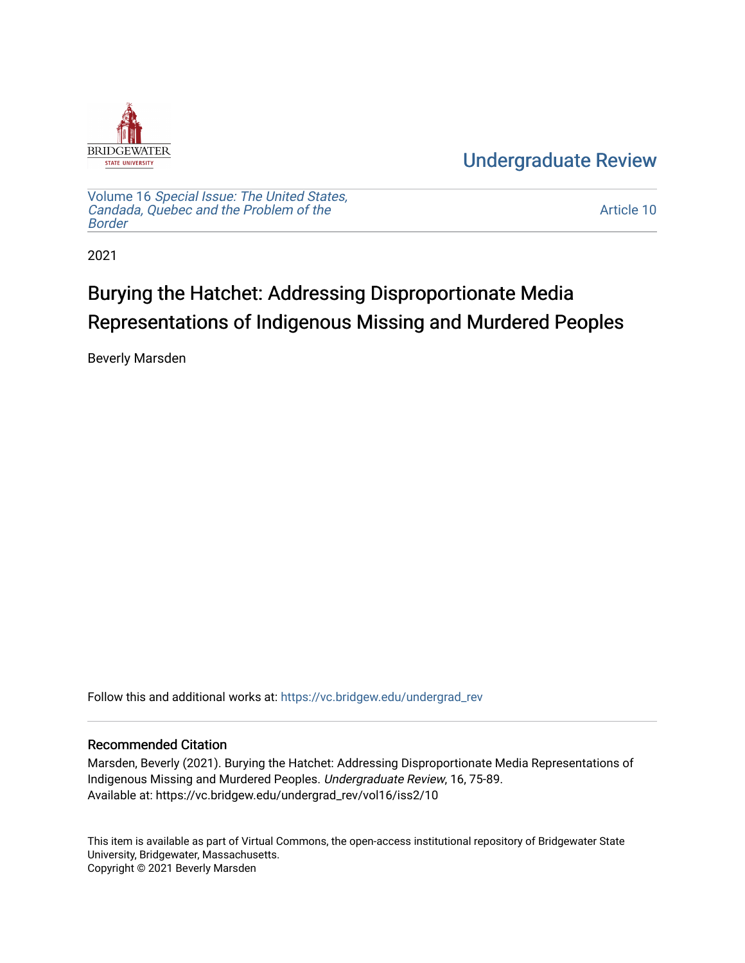

[Undergraduate Review](https://vc.bridgew.edu/undergrad_rev) 

Volume 16 [Special Issue: The United States,](https://vc.bridgew.edu/undergrad_rev/vol16)  [Candada, Quebec and the Problem of the](https://vc.bridgew.edu/undergrad_rev/vol16)  [Border](https://vc.bridgew.edu/undergrad_rev/vol16)

[Article 10](https://vc.bridgew.edu/undergrad_rev/vol16/iss2/10) 

2021

# Burying the Hatchet: Addressing Disproportionate Media Representations of Indigenous Missing and Murdered Peoples

Beverly Marsden

Follow this and additional works at: [https://vc.bridgew.edu/undergrad\\_rev](https://vc.bridgew.edu/undergrad_rev?utm_source=vc.bridgew.edu%2Fundergrad_rev%2Fvol16%2Fiss2%2F10&utm_medium=PDF&utm_campaign=PDFCoverPages)

#### Recommended Citation

Marsden, Beverly (2021). Burying the Hatchet: Addressing Disproportionate Media Representations of Indigenous Missing and Murdered Peoples. Undergraduate Review, 16, 75-89. Available at: https://vc.bridgew.edu/undergrad\_rev/vol16/iss2/10

This item is available as part of Virtual Commons, the open-access institutional repository of Bridgewater State University, Bridgewater, Massachusetts. Copyright © 2021 Beverly Marsden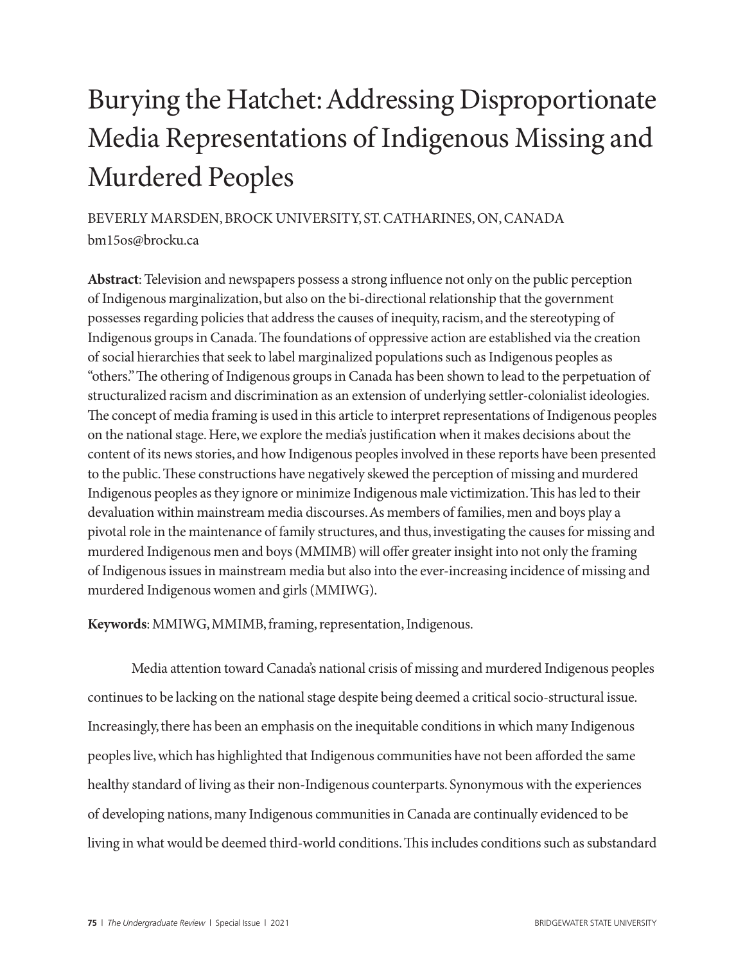# Burying the Hatchet: Addressing Disproportionate Media Representations of Indigenous Missing and Murdered Peoples

BEVERLY MARSDEN, BROCK UNIVERSITY, ST. CATHARINES, ON, CANADA bm15os@brocku.ca

**Abstract**: Television and newspapers possess a strong influence not only on the public perception of Indigenous marginalization, but also on the bi-directional relationship that the government possesses regarding policies that address the causes of inequity, racism, and the stereotyping of Indigenous groups in Canada. The foundations of oppressive action are established via the creation of social hierarchies that seek to label marginalized populations such as Indigenous peoples as "others." The othering of Indigenous groups in Canada has been shown to lead to the perpetuation of structuralized racism and discrimination as an extension of underlying settler-colonialist ideologies. The concept of media framing is used in this article to interpret representations of Indigenous peoples on the national stage. Here, we explore the media's justification when it makes decisions about the content of its news stories, and how Indigenous peoples involved in these reports have been presented to the public. These constructions have negatively skewed the perception of missing and murdered Indigenous peoples as they ignore or minimize Indigenous male victimization. This has led to their devaluation within mainstream media discourses. As members of families, men and boys play a pivotal role in the maintenance of family structures, and thus, investigating the causes for missing and murdered Indigenous men and boys (MMIMB) will offer greater insight into not only the framing of Indigenous issues in mainstream media but also into the ever-increasing incidence of missing and murdered Indigenous women and girls (MMIWG).

**Keywords**: MMIWG, MMIMB, framing, representation, Indigenous.

Media attention toward Canada's national crisis of missing and murdered Indigenous peoples continues to be lacking on the national stage despite being deemed a critical socio-structural issue. Increasingly, there has been an emphasis on the inequitable conditions in which many Indigenous peoples live, which has highlighted that Indigenous communities have not been afforded the same healthy standard of living as their non-Indigenous counterparts. Synonymous with the experiences of developing nations, many Indigenous communities in Canada are continually evidenced to be living in what would be deemed third-world conditions. This includes conditions such as substandard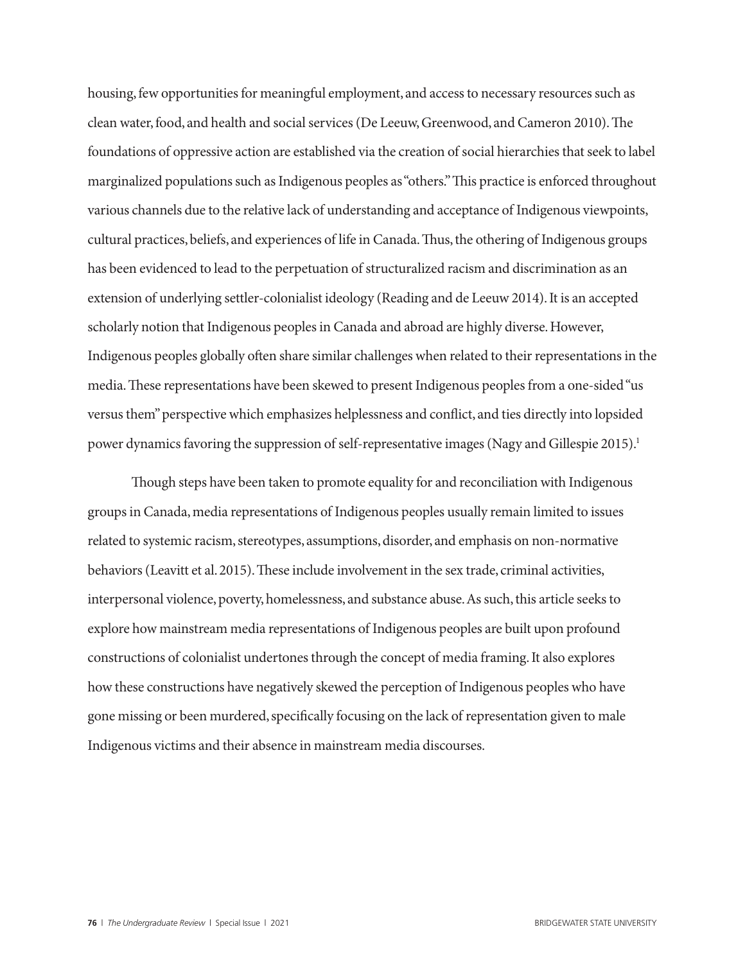housing, few opportunities for meaningful employment, and access to necessary resources such as clean water, food, and health and social services (De Leeuw, Greenwood, and Cameron 2010). The foundations of oppressive action are established via the creation of social hierarchies that seek to label marginalized populations such as Indigenous peoples as "others." This practice is enforced throughout various channels due to the relative lack of understanding and acceptance of Indigenous viewpoints, cultural practices, beliefs, and experiences of life in Canada. Thus, the othering of Indigenous groups has been evidenced to lead to the perpetuation of structuralized racism and discrimination as an extension of underlying settler-colonialist ideology (Reading and de Leeuw 2014). It is an accepted scholarly notion that Indigenous peoples in Canada and abroad are highly diverse. However, Indigenous peoples globally often share similar challenges when related to their representations in the media. These representations have been skewed to present Indigenous peoples from a one-sided "us versus them" perspective which emphasizes helplessness and conflict, and ties directly into lopsided power dynamics favoring the suppression of self-representative images (Nagy and Gillespie 2015).<sup>1</sup>

Though steps have been taken to promote equality for and reconciliation with Indigenous groups in Canada, media representations of Indigenous peoples usually remain limited to issues related to systemic racism, stereotypes, assumptions, disorder, and emphasis on non-normative behaviors (Leavitt et al. 2015). These include involvement in the sex trade, criminal activities, interpersonal violence, poverty, homelessness, and substance abuse. As such, this article seeks to explore how mainstream media representations of Indigenous peoples are built upon profound constructions of colonialist undertones through the concept of media framing. It also explores how these constructions have negatively skewed the perception of Indigenous peoples who have gone missing or been murdered, specifically focusing on the lack of representation given to male Indigenous victims and their absence in mainstream media discourses.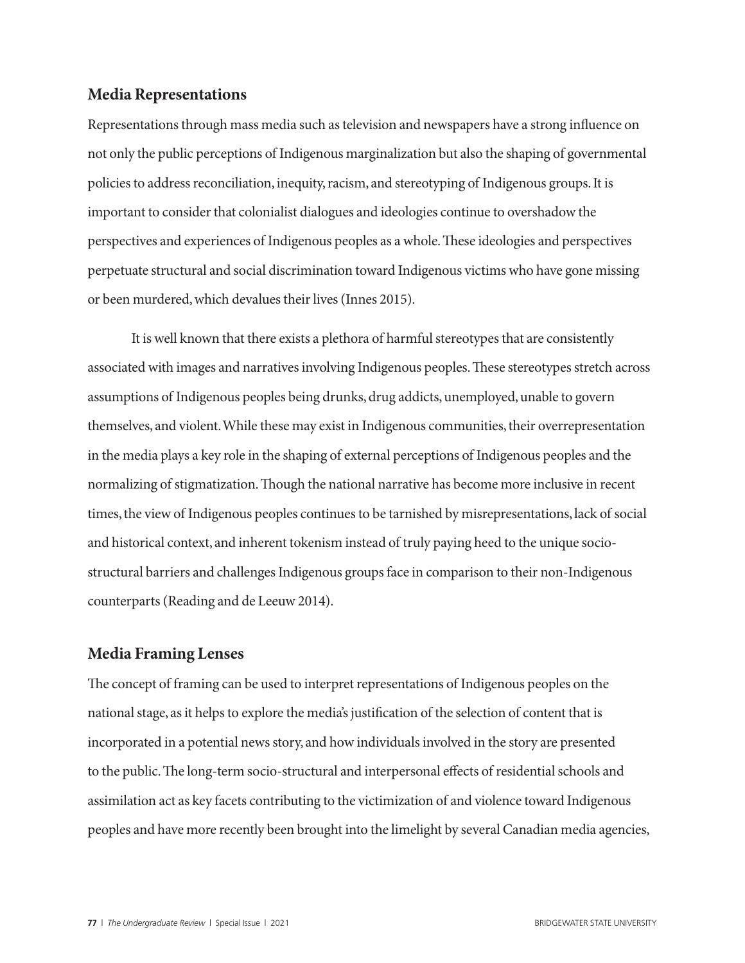### **Media Representations**

Representations through mass media such as television and newspapers have a strong influence on not only the public perceptions of Indigenous marginalization but also the shaping of governmental policies to address reconciliation, inequity, racism, and stereotyping of Indigenous groups. It is important to consider that colonialist dialogues and ideologies continue to overshadow the perspectives and experiences of Indigenous peoples as a whole. These ideologies and perspectives perpetuate structural and social discrimination toward Indigenous victims who have gone missing or been murdered, which devalues their lives (Innes 2015).

It is well known that there exists a plethora of harmful stereotypes that are consistently associated with images and narratives involving Indigenous peoples. These stereotypes stretch across assumptions of Indigenous peoples being drunks, drug addicts, unemployed, unable to govern themselves, and violent. While these may exist in Indigenous communities, their overrepresentation in the media plays a key role in the shaping of external perceptions of Indigenous peoples and the normalizing of stigmatization. Though the national narrative has become more inclusive in recent times, the view of Indigenous peoples continues to be tarnished by misrepresentations, lack of social and historical context, and inherent tokenism instead of truly paying heed to the unique sociostructural barriers and challenges Indigenous groups face in comparison to their non-Indigenous counterparts (Reading and de Leeuw 2014).

# **Media Framing Lenses**

The concept of framing can be used to interpret representations of Indigenous peoples on the national stage, as it helps to explore the media's justification of the selection of content that is incorporated in a potential news story, and how individuals involved in the story are presented to the public. The long-term socio-structural and interpersonal effects of residential schools and assimilation act as key facets contributing to the victimization of and violence toward Indigenous peoples and have more recently been brought into the limelight by several Canadian media agencies,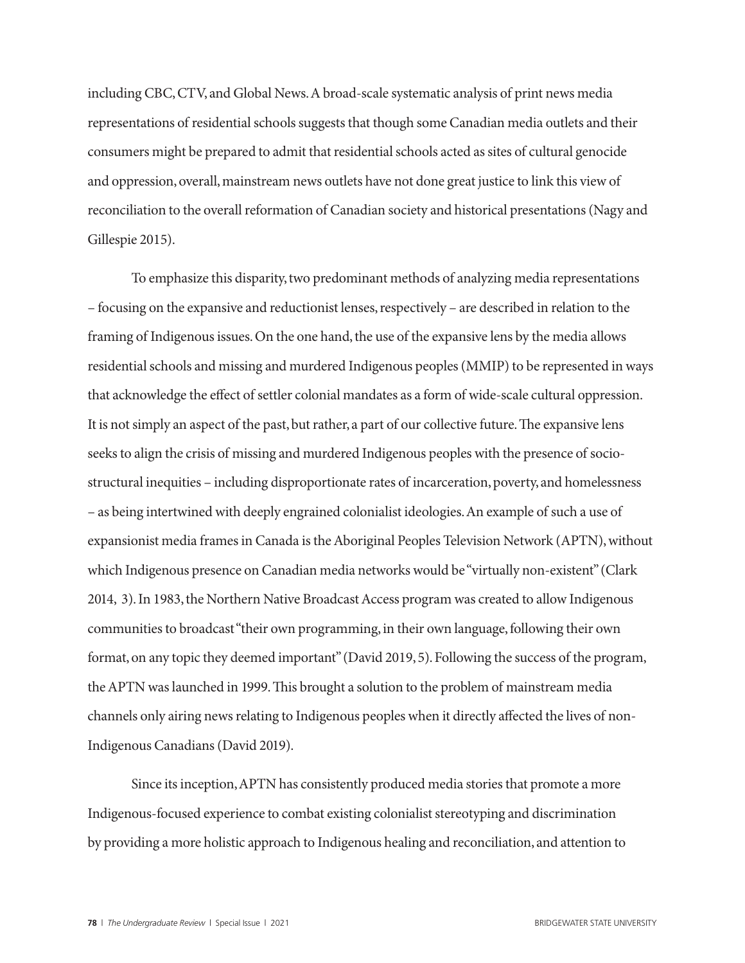including CBC, CTV, and Global News. A broad-scale systematic analysis of print news media representations of residential schools suggests that though some Canadian media outlets and their consumers might be prepared to admit that residential schools acted as sites of cultural genocide and oppression, overall, mainstream news outlets have not done great justice to link this view of reconciliation to the overall reformation of Canadian society and historical presentations (Nagy and Gillespie 2015).

To emphasize this disparity, two predominant methods of analyzing media representations – focusing on the expansive and reductionist lenses, respectively – are described in relation to the framing of Indigenous issues. On the one hand, the use of the expansive lens by the media allows residential schools and missing and murdered Indigenous peoples (MMIP) to be represented in ways that acknowledge the effect of settler colonial mandates as a form of wide-scale cultural oppression. It is not simply an aspect of the past, but rather, a part of our collective future. The expansive lens seeks to align the crisis of missing and murdered Indigenous peoples with the presence of sociostructural inequities – including disproportionate rates of incarceration, poverty, and homelessness – as being intertwined with deeply engrained colonialist ideologies. An example of such a use of expansionist media frames in Canada is the Aboriginal Peoples Television Network (APTN), without which Indigenous presence on Canadian media networks would be "virtually non-existent" (Clark 2014, 3). In 1983, the Northern Native Broadcast Access program was created to allow Indigenous communities to broadcast "their own programming, in their own language, following their own format, on any topic they deemed important" (David 2019, 5). Following the success of the program, the APTN was launched in 1999. This brought a solution to the problem of mainstream media channels only airing news relating to Indigenous peoples when it directly affected the lives of non-Indigenous Canadians (David 2019).

Since its inception, APTN has consistently produced media stories that promote a more Indigenous-focused experience to combat existing colonialist stereotyping and discrimination by providing a more holistic approach to Indigenous healing and reconciliation, and attention to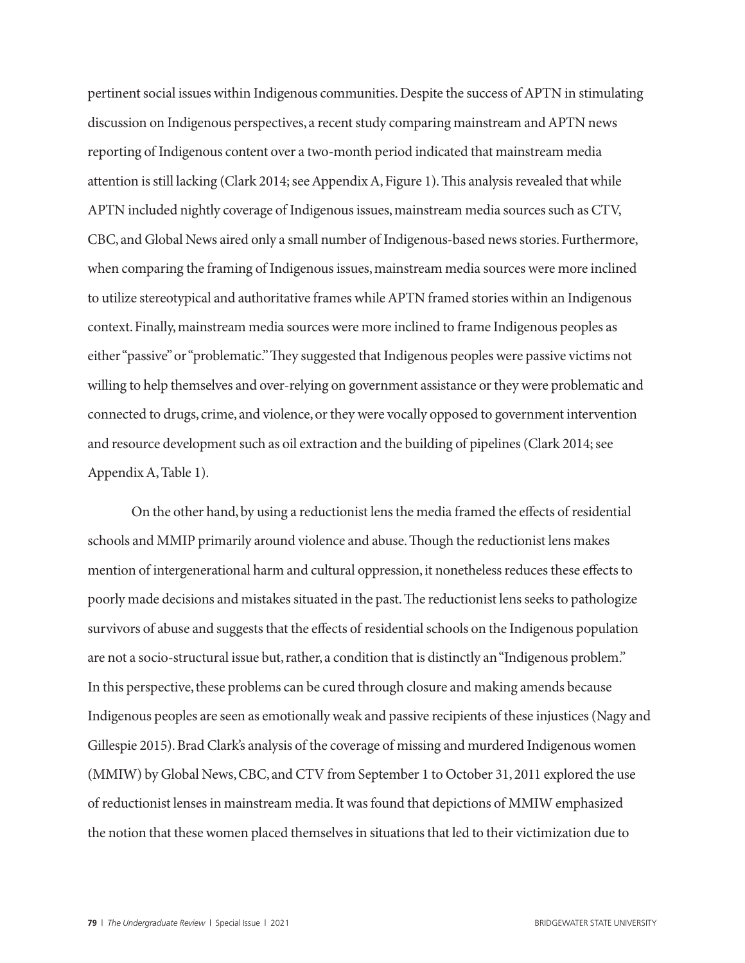pertinent social issues within Indigenous communities. Despite the success of APTN in stimulating discussion on Indigenous perspectives, a recent study comparing mainstream and APTN news reporting of Indigenous content over a two-month period indicated that mainstream media attention is still lacking (Clark 2014; see Appendix A, Figure 1). This analysis revealed that while APTN included nightly coverage of Indigenous issues, mainstream media sources such as CTV, CBC, and Global News aired only a small number of Indigenous-based news stories. Furthermore, when comparing the framing of Indigenous issues, mainstream media sources were more inclined to utilize stereotypical and authoritative frames while APTN framed stories within an Indigenous context. Finally, mainstream media sources were more inclined to frame Indigenous peoples as either "passive" or "problematic." They suggested that Indigenous peoples were passive victims not willing to help themselves and over-relying on government assistance or they were problematic and connected to drugs, crime, and violence, or they were vocally opposed to government intervention and resource development such as oil extraction and the building of pipelines (Clark 2014; see Appendix A, Table 1).

On the other hand, by using a reductionist lens the media framed the effects of residential schools and MMIP primarily around violence and abuse. Though the reductionist lens makes mention of intergenerational harm and cultural oppression, it nonetheless reduces these effects to poorly made decisions and mistakes situated in the past. The reductionist lens seeks to pathologize survivors of abuse and suggests that the effects of residential schools on the Indigenous population are not a socio-structural issue but, rather, a condition that is distinctly an "Indigenous problem." In this perspective, these problems can be cured through closure and making amends because Indigenous peoples are seen as emotionally weak and passive recipients of these injustices (Nagy and Gillespie 2015). Brad Clark's analysis of the coverage of missing and murdered Indigenous women (MMIW) by Global News, CBC, and CTV from September 1 to October 31, 2011 explored the use of reductionist lenses in mainstream media. It was found that depictions of MMIW emphasized the notion that these women placed themselves in situations that led to their victimization due to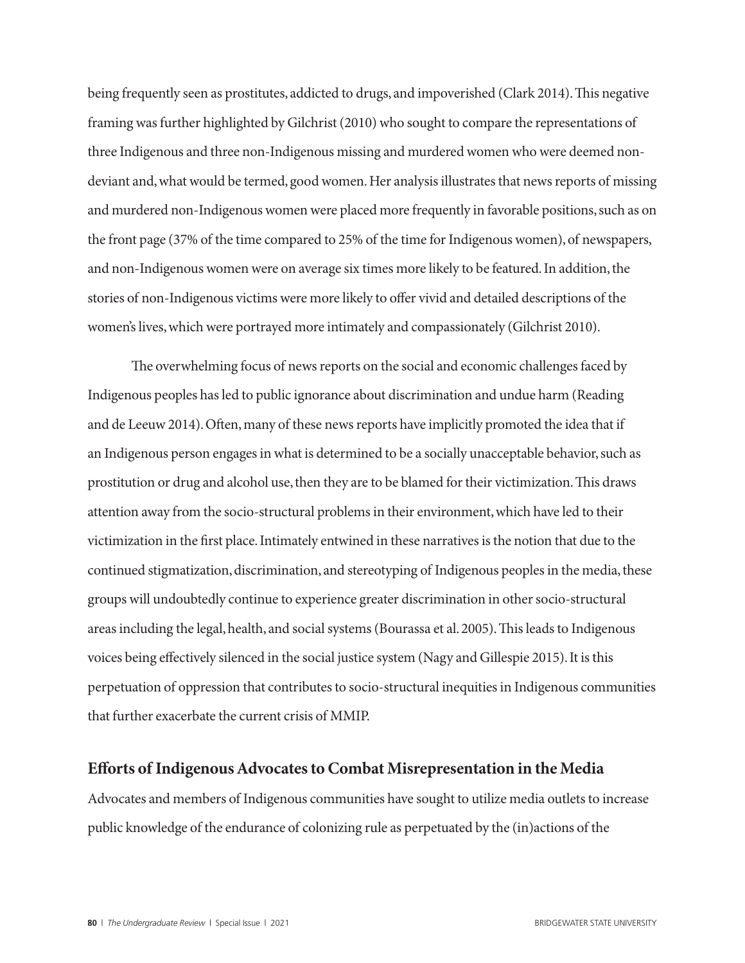being frequently seen as prostitutes, addicted to drugs, and impoverished (Clark 2014). This negative framing was further highlighted by Gilchrist (2010) who sought to compare the representations of three Indigenous and three non-Indigenous missing and murdered women who were deemed nondeviant and, what would be termed, good women. Her analysis illustrates that news reports of missing and murdered non-Indigenous women were placed more frequently in favorable positions, such as on the front page (37% of the time compared to 25% of the time for Indigenous women), of newspapers, and non-Indigenous women were on average six times more likely to be featured. In addition, the stories of non-Indigenous victims were more likely to offer vivid and detailed descriptions of the women's lives, which were portrayed more intimately and compassionately (Gilchrist 2010).

The overwhelming focus of news reports on the social and economic challenges faced by Indigenous peoples has led to public ignorance about discrimination and undue harm (Reading and de Leeuw 2014). Often, many of these news reports have implicitly promoted the idea that if an Indigenous person engages in what is determined to be a socially unacceptable behavior, such as prostitution or drug and alcohol use, then they are to be blamed for their victimization. This draws attention away from the socio-structural problems in their environment, which have led to their victimization in the first place. Intimately entwined in these narratives is the notion that due to the continued stigmatization, discrimination, and stereotyping of Indigenous peoples in the media, these groups will undoubtedly continue to experience greater discrimination in other socio-structural areas including the legal, health, and social systems (Bourassa et al. 2005). This leads to Indigenous voices being effectively silenced in the social justice system (Nagy and Gillespie 2015). It is this perpetuation of oppression that contributes to socio-structural inequities in Indigenous communities that further exacerbate the current crisis of MMIP.

# **Efforts of Indigenous Advocates to Combat Misrepresentation in the Media**

Advocates and members of Indigenous communities have sought to utilize media outlets to increase public knowledge of the endurance of colonizing rule as perpetuated by the (in)actions of the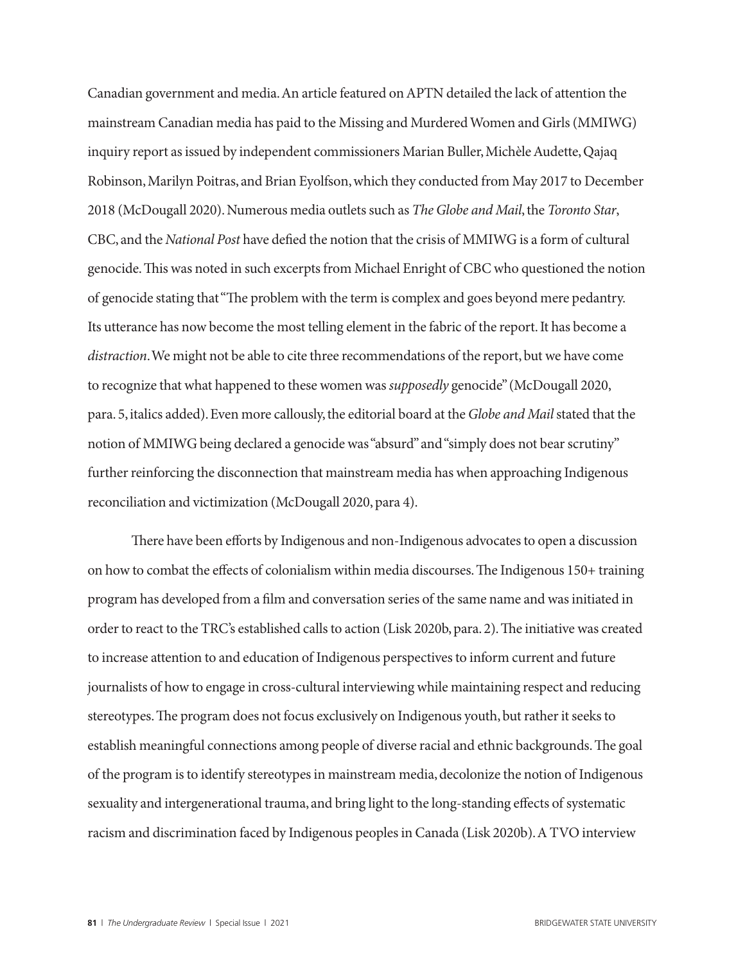Canadian government and media. An article featured on APTN detailed the lack of attention the mainstream Canadian media has paid to the Missing and Murdered Women and Girls (MMIWG) inquiry report as issued by independent commissioners Marian Buller, Michèle Audette, Qajaq Robinson, Marilyn Poitras, and Brian Eyolfson, which they conducted from May 2017 to December 2018 (McDougall 2020). Numerous media outlets such as *The Globe and Mail*, the *Toronto Star*, CBC, and the *National Post* have defied the notion that the crisis of MMIWG is a form of cultural genocide. This was noted in such excerpts from Michael Enright of CBC who questioned the notion of genocide stating that "The problem with the term is complex and goes beyond mere pedantry. Its utterance has now become the most telling element in the fabric of the report. It has become a *distraction*. We might not be able to cite three recommendations of the report, but we have come to recognize that what happened to these women was *supposedly* genocide" (McDougall 2020, para. 5, italics added). Even more callously, the editorial board at the *Globe and Mail* stated that the notion of MMIWG being declared a genocide was "absurd" and "simply does not bear scrutiny" further reinforcing the disconnection that mainstream media has when approaching Indigenous reconciliation and victimization (McDougall 2020, para 4).

There have been efforts by Indigenous and non-Indigenous advocates to open a discussion on how to combat the effects of colonialism within media discourses. The Indigenous 150+ training program has developed from a film and conversation series of the same name and was initiated in order to react to the TRC's established calls to action (Lisk 2020b, para. 2). The initiative was created to increase attention to and education of Indigenous perspectives to inform current and future journalists of how to engage in cross-cultural interviewing while maintaining respect and reducing stereotypes. The program does not focus exclusively on Indigenous youth, but rather it seeks to establish meaningful connections among people of diverse racial and ethnic backgrounds. The goal of the program is to identify stereotypes in mainstream media, decolonize the notion of Indigenous sexuality and intergenerational trauma, and bring light to the long-standing effects of systematic racism and discrimination faced by Indigenous peoples in Canada (Lisk 2020b). A TVO interview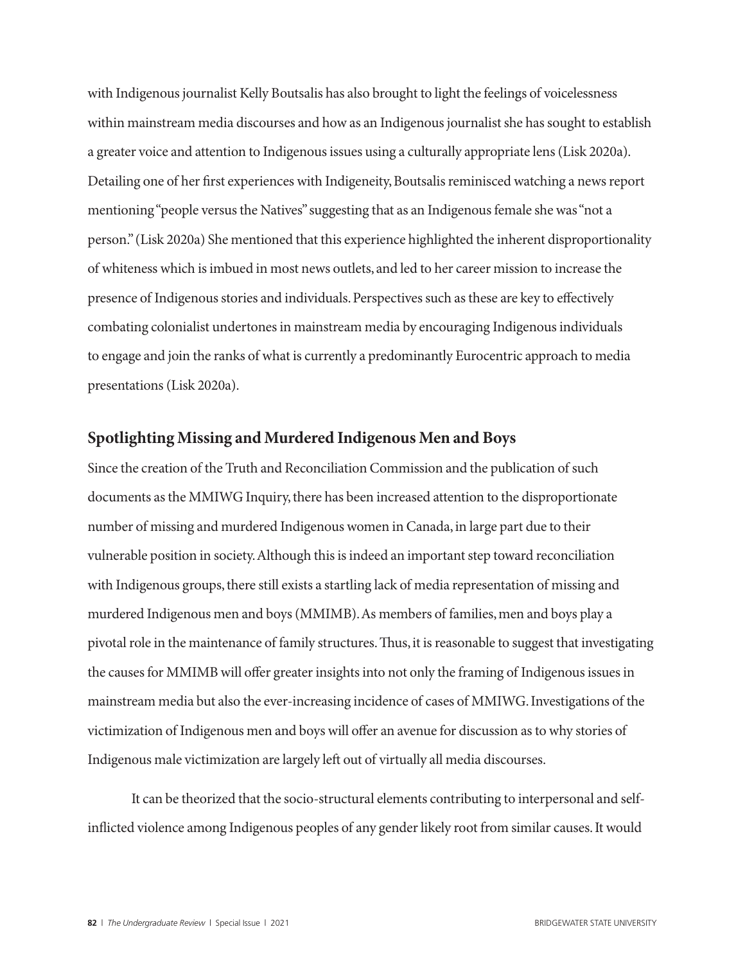with Indigenous journalist Kelly Boutsalis has also brought to light the feelings of voicelessness within mainstream media discourses and how as an Indigenous journalist she has sought to establish a greater voice and attention to Indigenous issues using a culturally appropriate lens (Lisk 2020a). Detailing one of her first experiences with Indigeneity, Boutsalis reminisced watching a news report mentioning "people versus the Natives" suggesting that as an Indigenous female she was "not a person." (Lisk 2020a) She mentioned that this experience highlighted the inherent disproportionality of whiteness which is imbued in most news outlets, and led to her career mission to increase the presence of Indigenous stories and individuals. Perspectives such as these are key to effectively combating colonialist undertones in mainstream media by encouraging Indigenous individuals to engage and join the ranks of what is currently a predominantly Eurocentric approach to media presentations (Lisk 2020a).

# **Spotlighting Missing and Murdered Indigenous Men and Boys**

Since the creation of the Truth and Reconciliation Commission and the publication of such documents as the MMIWG Inquiry, there has been increased attention to the disproportionate number of missing and murdered Indigenous women in Canada, in large part due to their vulnerable position in society. Although this is indeed an important step toward reconciliation with Indigenous groups, there still exists a startling lack of media representation of missing and murdered Indigenous men and boys (MMIMB). As members of families, men and boys play a pivotal role in the maintenance of family structures. Thus, it is reasonable to suggest that investigating the causes for MMIMB will offer greater insights into not only the framing of Indigenous issues in mainstream media but also the ever-increasing incidence of cases of MMIWG. Investigations of the victimization of Indigenous men and boys will offer an avenue for discussion as to why stories of Indigenous male victimization are largely left out of virtually all media discourses.

It can be theorized that the socio-structural elements contributing to interpersonal and selfinflicted violence among Indigenous peoples of any gender likely root from similar causes. It would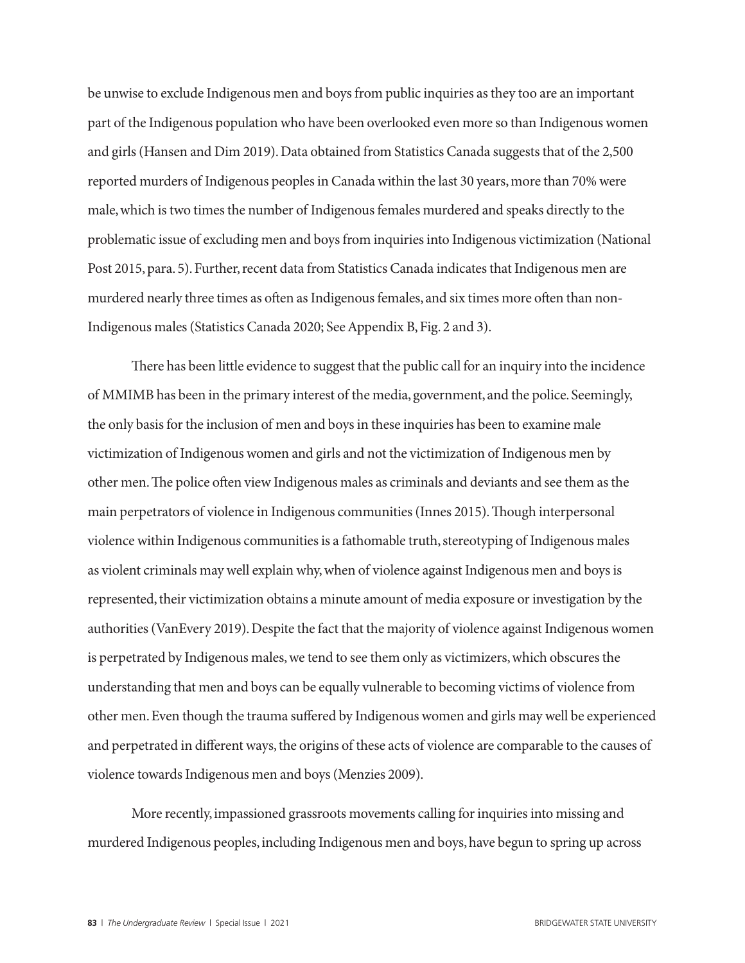be unwise to exclude Indigenous men and boys from public inquiries as they too are an important part of the Indigenous population who have been overlooked even more so than Indigenous women and girls (Hansen and Dim 2019). Data obtained from Statistics Canada suggests that of the 2,500 reported murders of Indigenous peoples in Canada within the last 30 years, more than 70% were male, which is two times the number of Indigenous females murdered and speaks directly to the problematic issue of excluding men and boys from inquiries into Indigenous victimization (National Post 2015, para. 5). Further, recent data from Statistics Canada indicates that Indigenous men are murdered nearly three times as often as Indigenous females, and six times more often than non-Indigenous males (Statistics Canada 2020; See Appendix B, Fig. 2 and 3).

There has been little evidence to suggest that the public call for an inquiry into the incidence of MMIMB has been in the primary interest of the media, government, and the police. Seemingly, the only basis for the inclusion of men and boys in these inquiries has been to examine male victimization of Indigenous women and girls and not the victimization of Indigenous men by other men. The police often view Indigenous males as criminals and deviants and see them as the main perpetrators of violence in Indigenous communities (Innes 2015). Though interpersonal violence within Indigenous communities is a fathomable truth, stereotyping of Indigenous males as violent criminals may well explain why, when of violence against Indigenous men and boys is represented, their victimization obtains a minute amount of media exposure or investigation by the authorities (VanEvery 2019). Despite the fact that the majority of violence against Indigenous women is perpetrated by Indigenous males, we tend to see them only as victimizers, which obscures the understanding that men and boys can be equally vulnerable to becoming victims of violence from other men. Even though the trauma suffered by Indigenous women and girls may well be experienced and perpetrated in different ways, the origins of these acts of violence are comparable to the causes of violence towards Indigenous men and boys (Menzies 2009).

More recently, impassioned grassroots movements calling for inquiries into missing and murdered Indigenous peoples, including Indigenous men and boys, have begun to spring up across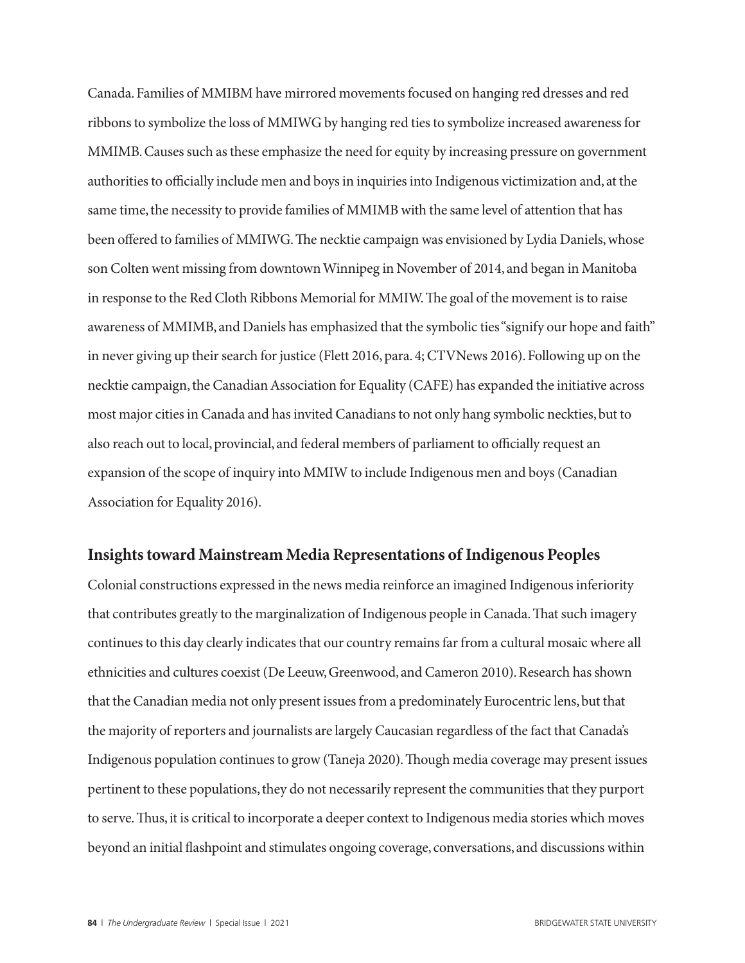Canada. Families of MMIBM have mirrored movements focused on hanging red dresses and red ribbons to symbolize the loss of MMIWG by hanging red ties to symbolize increased awareness for MMIMB. Causes such as these emphasize the need for equity by increasing pressure on government authorities to officially include men and boys in inquiries into Indigenous victimization and, at the same time, the necessity to provide families of MMIMB with the same level of attention that has been offered to families of MMIWG. The necktie campaign was envisioned by Lydia Daniels, whose son Colten went missing from downtown Winnipeg in November of 2014, and began in Manitoba in response to the Red Cloth Ribbons Memorial for MMIW. The goal of the movement is to raise awareness of MMIMB, and Daniels has emphasized that the symbolic ties "signify our hope and faith" in never giving up their search for justice (Flett 2016, para. 4; CTVNews 2016). Following up on the necktie campaign, the Canadian Association for Equality (CAFE) has expanded the initiative across most major cities in Canada and has invited Canadians to not only hang symbolic neckties, but to also reach out to local, provincial, and federal members of parliament to officially request an expansion of the scope of inquiry into MMIW to include Indigenous men and boys (Canadian Association for Equality 2016).

#### **Insights toward Mainstream Media Representations of Indigenous Peoples**

Colonial constructions expressed in the news media reinforce an imagined Indigenous inferiority that contributes greatly to the marginalization of Indigenous people in Canada. That such imagery continues to this day clearly indicates that our country remains far from a cultural mosaic where all ethnicities and cultures coexist (De Leeuw, Greenwood, and Cameron 2010). Research has shown that the Canadian media not only present issues from a predominately Eurocentric lens, but that the majority of reporters and journalists are largely Caucasian regardless of the fact that Canada's Indigenous population continues to grow (Taneja 2020). Though media coverage may present issues pertinent to these populations, they do not necessarily represent the communities that they purport to serve. Thus, it is critical to incorporate a deeper context to Indigenous media stories which moves beyond an initial flashpoint and stimulates ongoing coverage, conversations, and discussions within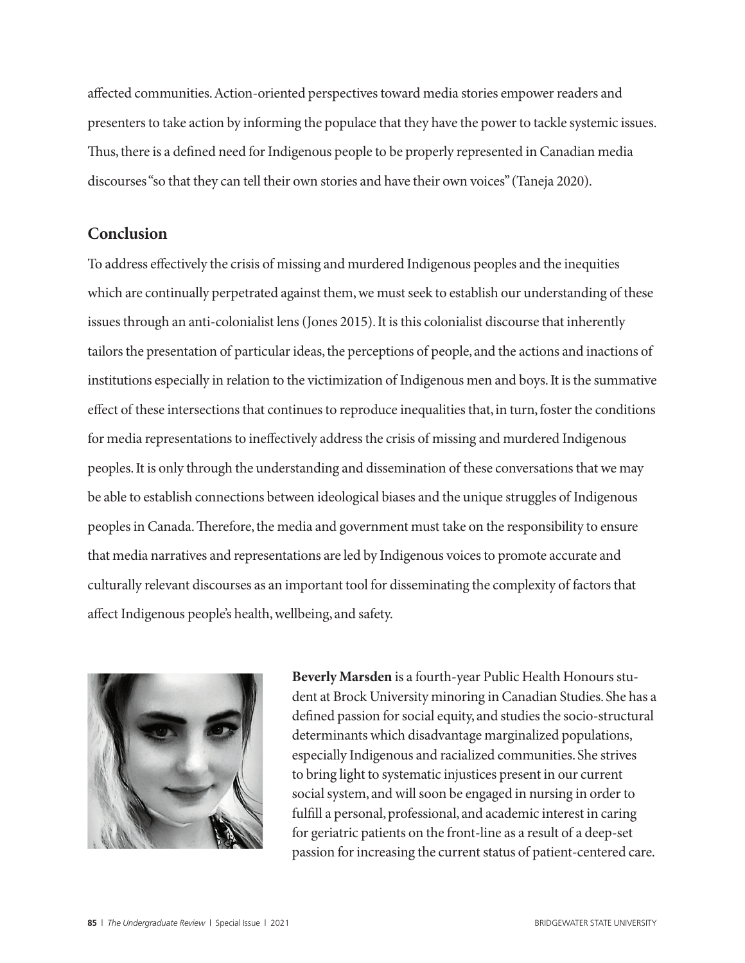affected communities. Action-oriented perspectives toward media stories empower readers and presenters to take action by informing the populace that they have the power to tackle systemic issues. Thus, there is a defined need for Indigenous people to be properly represented in Canadian media discourses "so that they can tell their own stories and have their own voices" (Taneja 2020).

# **Conclusion**

To address effectively the crisis of missing and murdered Indigenous peoples and the inequities which are continually perpetrated against them, we must seek to establish our understanding of these issues through an anti-colonialist lens (Jones 2015). It is this colonialist discourse that inherently tailors the presentation of particular ideas, the perceptions of people, and the actions and inactions of institutions especially in relation to the victimization of Indigenous men and boys. It is the summative effect of these intersections that continues to reproduce inequalities that, in turn, foster the conditions for media representations to ineffectively address the crisis of missing and murdered Indigenous peoples. It is only through the understanding and dissemination of these conversations that we may be able to establish connections between ideological biases and the unique struggles of Indigenous peoples in Canada. Therefore, the media and government must take on the responsibility to ensure that media narratives and representations are led by Indigenous voices to promote accurate and culturally relevant discourses as an important tool for disseminating the complexity of factors that affect Indigenous people's health, wellbeing, and safety.



**Beverly Marsden** is a fourth-year Public Health Honours student at Brock University minoring in Canadian Studies. She has a defined passion for social equity, and studies the socio-structural determinants which disadvantage marginalized populations, especially Indigenous and racialized communities. She strives to bring light to systematic injustices present in our current social system, and will soon be engaged in nursing in order to fulfill a personal, professional, and academic interest in caring for geriatric patients on the front-line as a result of a deep-set passion for increasing the current status of patient-centered care.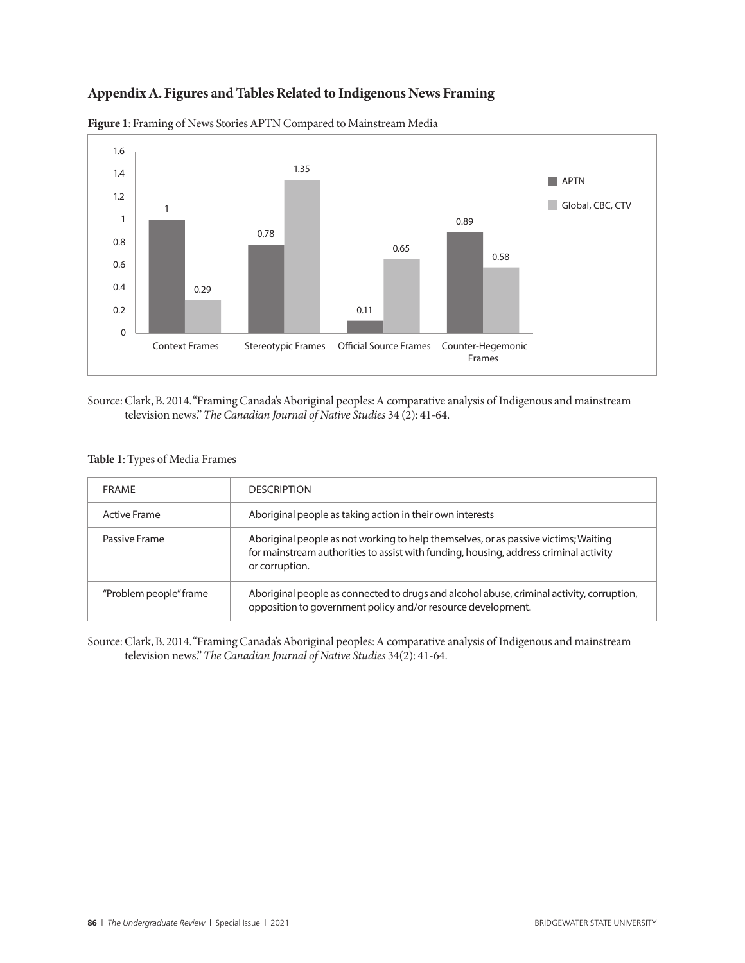# **Appendix A. Figures and Tables Related to Indigenous News Framing**



**Figure 1**: Framing of News Stories APTN Compared to Mainstream Media

Source: Clark, B. 2014. "Framing Canada's Aboriginal peoples: A comparative analysis of Indigenous and mainstream television news." *The Canadian Journal of Native Studies* 34 (2): 41-64.

#### **Table 1**: Types of Media Frames

| <b>FRAMF</b>           | <b>DESCRIPTION</b>                                                                                                                                                                             |
|------------------------|------------------------------------------------------------------------------------------------------------------------------------------------------------------------------------------------|
| <b>Active Frame</b>    | Aboriginal people as taking action in their own interests                                                                                                                                      |
| Passive Frame          | Aboriginal people as not working to help themselves, or as passive victims; Waiting<br>for mainstream authorities to assist with funding, housing, address criminal activity<br>or corruption. |
| "Problem people" frame | Aboriginal people as connected to drugs and alcohol abuse, criminal activity, corruption,<br>opposition to government policy and/or resource development.                                      |

Source: Clark, B. 2014. "Framing Canada's Aboriginal peoples: A comparative analysis of Indigenous and mainstream television news." *The Canadian Journal of Native Studies* 34(2): 41-64.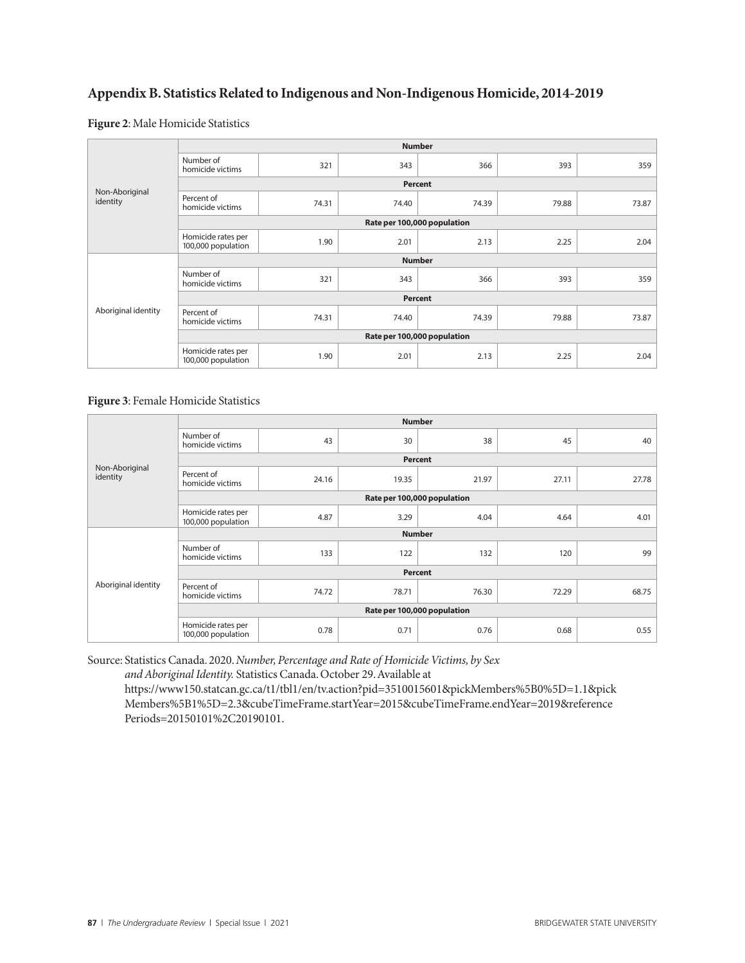# **Appendix B. Statistics Related to Indigenous and Non-Indigenous Homicide, 2014-2019**

#### **Figure 2**: Male Homicide Statistics

| Non-Aboriginal<br>identity | <b>Number</b>                            |       |       |       |       |       |  |  |
|----------------------------|------------------------------------------|-------|-------|-------|-------|-------|--|--|
|                            | Number of<br>homicide victims            | 321   | 343   | 366   | 393   | 359   |  |  |
|                            | Percent                                  |       |       |       |       |       |  |  |
|                            | Percent of<br>homicide victims           | 74.31 | 74.40 | 74.39 | 79.88 | 73.87 |  |  |
|                            | Rate per 100,000 population              |       |       |       |       |       |  |  |
|                            | Homicide rates per<br>100,000 population | 1.90  | 2.01  | 2.13  | 2.25  | 2.04  |  |  |
| Aboriginal identity        | <b>Number</b>                            |       |       |       |       |       |  |  |
|                            | Number of<br>homicide victims            | 321   | 343   | 366   | 393   | 359   |  |  |
|                            | Percent                                  |       |       |       |       |       |  |  |
|                            | Percent of<br>homicide victims           | 74.31 | 74.40 | 74.39 | 79.88 | 73.87 |  |  |
|                            | Rate per 100,000 population              |       |       |       |       |       |  |  |
|                            | Homicide rates per<br>100,000 population | 1.90  | 2.01  | 2.13  | 2.25  | 2.04  |  |  |

#### **Figure 3**: Female Homicide Statistics

| Non-Aboriginal<br>identity | <b>Number</b>                            |       |       |       |       |       |  |  |  |
|----------------------------|------------------------------------------|-------|-------|-------|-------|-------|--|--|--|
|                            | Number of<br>homicide victims            | 43    | 30    | 38    | 45    | 40    |  |  |  |
|                            | Percent                                  |       |       |       |       |       |  |  |  |
|                            | Percent of<br>homicide victims           | 24.16 | 19.35 | 21.97 | 27.11 | 27.78 |  |  |  |
|                            | Rate per 100,000 population              |       |       |       |       |       |  |  |  |
|                            | Homicide rates per<br>100,000 population | 4.87  | 3.29  | 4.04  | 4.64  | 4.01  |  |  |  |
| Aboriginal identity        | <b>Number</b>                            |       |       |       |       |       |  |  |  |
|                            | Number of<br>homicide victims            | 133   | 122   | 132   | 120   | 99    |  |  |  |
|                            | Percent                                  |       |       |       |       |       |  |  |  |
|                            | Percent of<br>homicide victims           | 74.72 | 78.71 | 76.30 | 72.29 | 68.75 |  |  |  |
|                            | Rate per 100,000 population              |       |       |       |       |       |  |  |  |
|                            | Homicide rates per<br>100,000 population | 0.78  | 0.71  | 0.76  | 0.68  | 0.55  |  |  |  |

Source: Statistics Canada. 2020. *Number, Percentage and Rate of Homicide Victims, by Sex* 

*and Aboriginal Identity.* Statistics Canada. October 29. Available at

https://www150.statcan.gc.ca/t1/tbl1/en/tv.action?pid=3510015601&pickMembers%5B0%5D=1.1&pick Members%5B1%5D=2.3&cubeTimeFrame.startYear=2015&cubeTimeFrame.endYear=2019&reference Periods=20150101%2C20190101.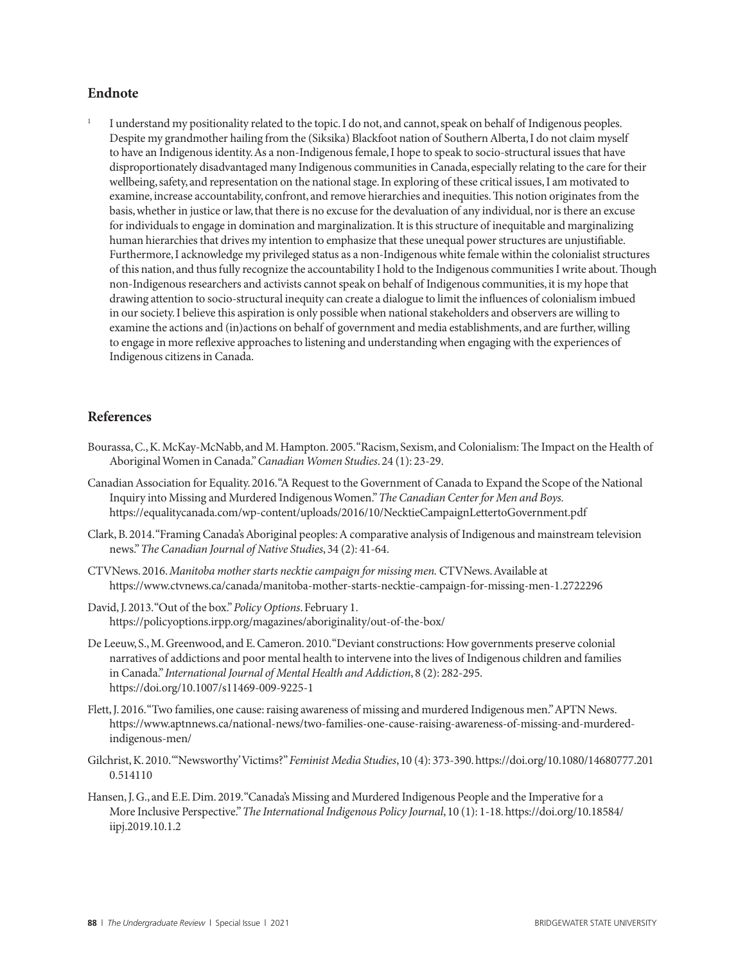#### **Endnote**

<sup>1</sup> I understand my positionality related to the topic. I do not, and cannot, speak on behalf of Indigenous peoples. Despite my grandmother hailing from the (Siksika) Blackfoot nation of Southern Alberta, I do not claim myself to have an Indigenous identity. As a non-Indigenous female, I hope to speak to socio-structural issues that have disproportionately disadvantaged many Indigenous communities in Canada, especially relating to the care for their wellbeing, safety, and representation on the national stage. In exploring of these critical issues, I am motivated to examine, increase accountability, confront, and remove hierarchies and inequities. This notion originates from the basis, whether in justice or law, that there is no excuse for the devaluation of any individual, nor is there an excuse for individuals to engage in domination and marginalization. It is this structure of inequitable and marginalizing human hierarchies that drives my intention to emphasize that these unequal power structures are unjustifiable. Furthermore, I acknowledge my privileged status as a non-Indigenous white female within the colonialist structures of this nation, and thus fully recognize the accountability I hold to the Indigenous communities I write about. Though non-Indigenous researchers and activists cannot speak on behalf of Indigenous communities, it is my hope that drawing attention to socio-structural inequity can create a dialogue to limit the influences of colonialism imbued in our society. I believe this aspiration is only possible when national stakeholders and observers are willing to examine the actions and (in)actions on behalf of government and media establishments, and are further, willing to engage in more reflexive approaches to listening and understanding when engaging with the experiences of Indigenous citizens in Canada.

#### **References**

- Bourassa, C., K. McKay-McNabb, and M. Hampton. 2005. "Racism, Sexism, and Colonialism: The Impact on the Health of Aboriginal Women in Canada." *Canadian Women Studies*. 24 (1): 23-29.
- Canadian Association for Equality. 2016. "A Request to the Government of Canada to Expand the Scope of the National Inquiry into Missing and Murdered Indigenous Women." *The Canadian Center for Men and Boys.* https://equalitycanada.com/wp-content/uploads/2016/10/NecktieCampaignLettertoGovernment.pdf
- Clark, B. 2014. "Framing Canada's Aboriginal peoples: A comparative analysis of Indigenous and mainstream television news." *The Canadian Journal of Native Studies*, 34 (2): 41-64.
- CTVNews. 2016. *Manitoba mother starts necktie campaign for missing men.* CTVNews. Available at https://www.ctvnews.ca/canada/manitoba-mother-starts-necktie-campaign-for-missing-men-1.2722296
- David, J. 2013. "Out of the box." *Policy Options*. February 1. https://policyoptions.irpp.org/magazines/aboriginality/out-of-the-box/
- De Leeuw, S., M. Greenwood, and E. Cameron. 2010. "Deviant constructions: How governments preserve colonial narratives of addictions and poor mental health to intervene into the lives of Indigenous children and families in Canada." *International Journal of Mental Health and Addiction*, 8 (2): 282-295. https://doi.org/10.1007/s11469-009-9225-1
- Flett, J. 2016. "Two families, one cause: raising awareness of missing and murdered Indigenous men." APTN News. https://www.aptnnews.ca/national-news/two-families-one-cause-raising-awareness-of-missing-and-murderedindigenous-men/
- Gilchrist, K. 2010. "'Newsworthy' Victims?" *Feminist Media Studies*, 10 (4): 373-390. https://doi.org/10.1080/14680777.201 0.514110
- Hansen, J. G., and E.E. Dim. 2019. "Canada's Missing and Murdered Indigenous People and the Imperative for a More Inclusive Perspective." *The International Indigenous Policy Journal*, 10 (1): 1-18. https://doi.org/10.18584/ iipj.2019.10.1.2